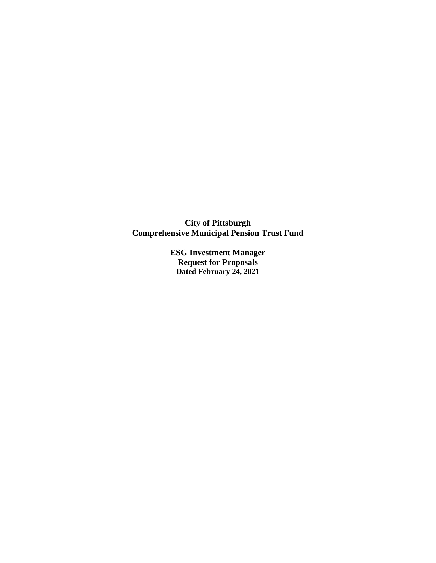**City of Pittsburgh Comprehensive Municipal Pension Trust Fund**

> **ESG Investment Manager Request for Proposals Dated February 24, 2021**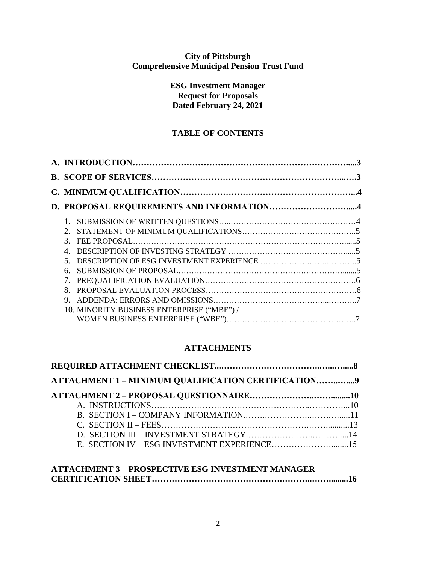# **City of Pittsburgh Comprehensive Municipal Pension Trust Fund**

**ESG Investment Manager Request for Proposals Dated February 24, 2021**

# **TABLE OF CONTENTS**

| $2^{\circ}$  |                                            |  |
|--------------|--------------------------------------------|--|
|              |                                            |  |
| $\mathbf{A}$ |                                            |  |
|              |                                            |  |
| 6.           |                                            |  |
|              |                                            |  |
| 8.           |                                            |  |
| 9            |                                            |  |
|              | 10. MINORITY BUSINESS ENTERPRISE ("MBE") / |  |
|              |                                            |  |

# **ATTACHMENTS**

| ATTACHMENT 1 - MINIMUM QUALIFICATION CERTIFICATION9 |  |
|-----------------------------------------------------|--|
|                                                     |  |
|                                                     |  |
|                                                     |  |
|                                                     |  |
|                                                     |  |
|                                                     |  |

# **ATTACHMENT 3 – PROSPECTIVE ESG INVESTMENT MANAGER CERTIFICATION SHEET……………………………………….………..…….........16**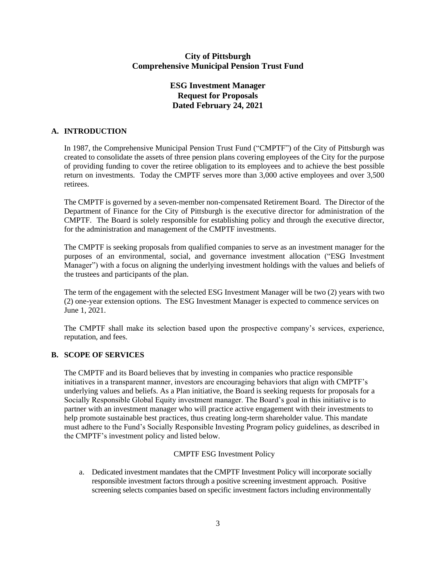# **City of Pittsburgh Comprehensive Municipal Pension Trust Fund**

# **ESG Investment Manager Request for Proposals Dated February 24, 2021**

## **A. INTRODUCTION**

In 1987, the Comprehensive Municipal Pension Trust Fund ("CMPTF") of the City of Pittsburgh was created to consolidate the assets of three pension plans covering employees of the City for the purpose of providing funding to cover the retiree obligation to its employees and to achieve the best possible return on investments. Today the CMPTF serves more than 3,000 active employees and over 3,500 retirees.

The CMPTF is governed by a seven-member non-compensated Retirement Board. The Director of the Department of Finance for the City of Pittsburgh is the executive director for administration of the CMPTF. The Board is solely responsible for establishing policy and through the executive director, for the administration and management of the CMPTF investments.

The CMPTF is seeking proposals from qualified companies to serve as an investment manager for the purposes of an environmental, social, and governance investment allocation ("ESG Investment Manager") with a focus on aligning the underlying investment holdings with the values and beliefs of the trustees and participants of the plan.

The term of the engagement with the selected ESG Investment Manager will be two (2) years with two (2) one-year extension options. The ESG Investment Manager is expected to commence services on June 1, 2021.

The CMPTF shall make its selection based upon the prospective company's services, experience, reputation, and fees.

## **B. SCOPE OF SERVICES**

The CMPTF and its Board believes that by investing in companies who practice responsible initiatives in a transparent manner, investors are encouraging behaviors that align with CMPTF's underlying values and beliefs. As a Plan initiative, the Board is seeking requests for proposals for a Socially Responsible Global Equity investment manager. The Board's goal in this initiative is to partner with an investment manager who will practice active engagement with their investments to help promote sustainable best practices, thus creating long-term shareholder value. This mandate must adhere to the Fund's Socially Responsible Investing Program policy guidelines, as described in the CMPTF's investment policy and listed below.

# CMPTF ESG Investment Policy

a. Dedicated investment mandates that the CMPTF Investment Policy will incorporate socially responsible investment factors through a positive screening investment approach. Positive screening selects companies based on specific investment factors including environmentally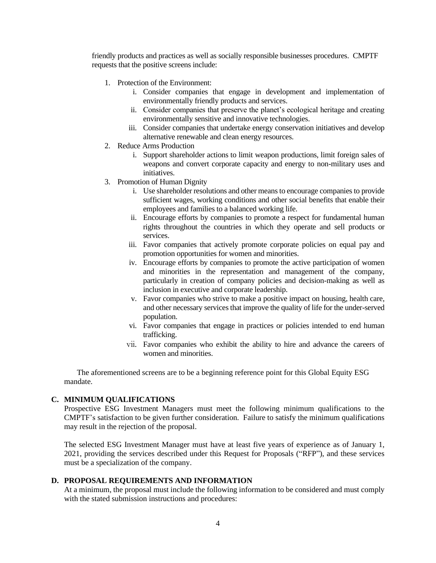friendly products and practices as well as socially responsible businesses procedures. CMPTF requests that the positive screens include:

- 1. Protection of the Environment:
	- i. Consider companies that engage in development and implementation of environmentally friendly products and services.
	- ii. Consider companies that preserve the planet's ecological heritage and creating environmentally sensitive and innovative technologies.
	- iii. Consider companies that undertake energy conservation initiatives and develop alternative renewable and clean energy resources.
- 2. Reduce Arms Production
	- i. Support shareholder actions to limit weapon productions, limit foreign sales of weapons and convert corporate capacity and energy to non-military uses and initiatives.
- 3. Promotion of Human Dignity
	- i. Use shareholder resolutions and other means to encourage companies to provide sufficient wages, working conditions and other social benefits that enable their employees and families to a balanced working life.
	- ii. Encourage efforts by companies to promote a respect for fundamental human rights throughout the countries in which they operate and sell products or services.
	- iii. Favor companies that actively promote corporate policies on equal pay and promotion opportunities for women and minorities.
	- iv. Encourage efforts by companies to promote the active participation of women and minorities in the representation and management of the company, particularly in creation of company policies and decision-making as well as inclusion in executive and corporate leadership.
	- v. Favor companies who strive to make a positive impact on housing, health care, and other necessary services that improve the quality of life for the under-served population.
	- vi. Favor companies that engage in practices or policies intended to end human trafficking.
	- vii. Favor companies who exhibit the ability to hire and advance the careers of women and minorities.

The aforementioned screens are to be a beginning reference point for this Global Equity ESG mandate.

## **C. MINIMUM QUALIFICATIONS**

Prospective ESG Investment Managers must meet the following minimum qualifications to the CMPTF's satisfaction to be given further consideration. Failure to satisfy the minimum qualifications may result in the rejection of the proposal.

The selected ESG Investment Manager must have at least five years of experience as of January 1, 2021, providing the services described under this Request for Proposals ("RFP"), and these services must be a specialization of the company.

## **D. PROPOSAL REQUIREMENTS AND INFORMATION**

At a minimum, the proposal must include the following information to be considered and must comply with the stated submission instructions and procedures: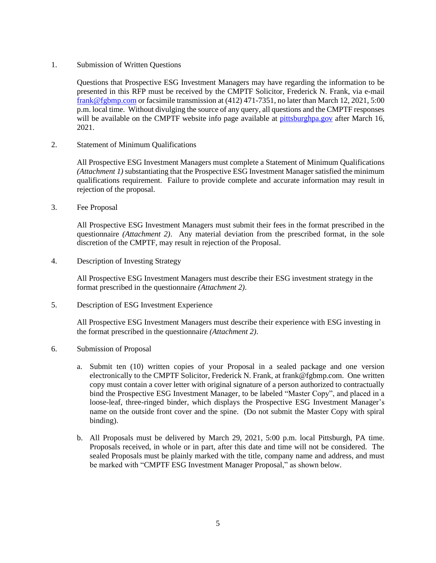1. Submission of Written Questions

Questions that Prospective ESG Investment Managers may have regarding the information to be presented in this RFP must be received by the CMPTF Solicitor, Frederick N. Frank, via e-mail [frank@fgbmp.com](mailto:frank@fgbmp.com) or facsimile transmission at (412) 471-7351, no later than March 12, 2021, 5:00 p.m. local time. Without divulging the source of any query, all questions and the CMPTF responses will be available on the CMPTF website info page available at [pittsburghpa.gov](http://cmptf.pittsburghpa.gov/) after March 16, 2021.

2. Statement of Minimum Qualifications

All Prospective ESG Investment Managers must complete a Statement of Minimum Qualifications *(Attachment 1)* substantiating that the Prospective ESG Investment Manager satisfied the minimum qualifications requirement. Failure to provide complete and accurate information may result in rejection of the proposal.

3. Fee Proposal

All Prospective ESG Investment Managers must submit their fees in the format prescribed in the questionnaire *(Attachment 2)*. Any material deviation from the prescribed format, in the sole discretion of the CMPTF, may result in rejection of the Proposal.

4. Description of Investing Strategy

All Prospective ESG Investment Managers must describe their ESG investment strategy in the format prescribed in the questionnaire *(Attachment 2)*.

5. Description of ESG Investment Experience

All Prospective ESG Investment Managers must describe their experience with ESG investing in the format prescribed in the questionnaire *(Attachment 2)*.

- 6. Submission of Proposal
	- a. Submit ten (10) written copies of your Proposal in a sealed package and one version electronically to the CMPTF Solicitor, Frederick N. Frank, at frank@fgbmp.com. One written copy must contain a cover letter with original signature of a person authorized to contractually bind the Prospective ESG Investment Manager, to be labeled "Master Copy", and placed in a loose-leaf, three-ringed binder, which displays the Prospective ESG Investment Manager's name on the outside front cover and the spine. (Do not submit the Master Copy with spiral binding).
	- b. All Proposals must be delivered by March 29, 2021, 5:00 p.m. local Pittsburgh, PA time. Proposals received, in whole or in part, after this date and time will not be considered. The sealed Proposals must be plainly marked with the title, company name and address, and must be marked with "CMPTF ESG Investment Manager Proposal," as shown below.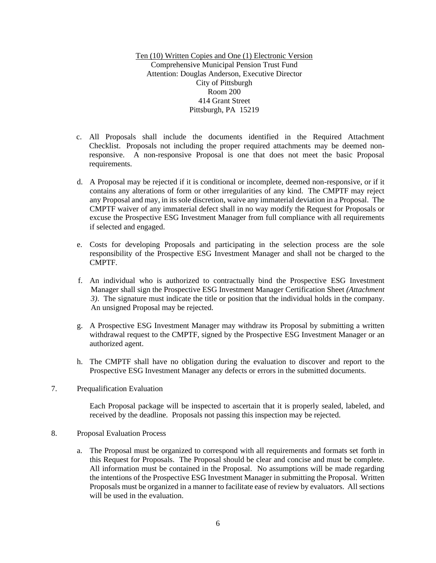Ten (10) Written Copies and One (1) Electronic Version Comprehensive Municipal Pension Trust Fund Attention: Douglas Anderson, Executive Director City of Pittsburgh Room 200 414 Grant Street Pittsburgh, PA 15219

- c. All Proposals shall include the documents identified in the Required Attachment Checklist. Proposals not including the proper required attachments may be deemed nonresponsive. A non-responsive Proposal is one that does not meet the basic Proposal requirements.
- d. A Proposal may be rejected if it is conditional or incomplete, deemed non-responsive, or if it contains any alterations of form or other irregularities of any kind. The CMPTF may reject any Proposal and may, in its sole discretion, waive any immaterial deviation in a Proposal. The CMPTF waiver of any immaterial defect shall in no way modify the Request for Proposals or excuse the Prospective ESG Investment Manager from full compliance with all requirements if selected and engaged.
- e. Costs for developing Proposals and participating in the selection process are the sole responsibility of the Prospective ESG Investment Manager and shall not be charged to the CMPTF.
- f. An individual who is authorized to contractually bind the Prospective ESG Investment Manager shall sign the Prospective ESG Investment Manager Certification Sheet *(Attachment 3)*. The signature must indicate the title or position that the individual holds in the company. An unsigned Proposal may be rejected.
- g. A Prospective ESG Investment Manager may withdraw its Proposal by submitting a written withdrawal request to the CMPTF, signed by the Prospective ESG Investment Manager or an authorized agent.
- h. The CMPTF shall have no obligation during the evaluation to discover and report to the Prospective ESG Investment Manager any defects or errors in the submitted documents.
- 7. Prequalification Evaluation

Each Proposal package will be inspected to ascertain that it is properly sealed, labeled, and received by the deadline. Proposals not passing this inspection may be rejected.

- 8. Proposal Evaluation Process
	- a. The Proposal must be organized to correspond with all requirements and formats set forth in this Request for Proposals. The Proposal should be clear and concise and must be complete. All information must be contained in the Proposal. No assumptions will be made regarding the intentions of the Prospective ESG Investment Manager in submitting the Proposal. Written Proposals must be organized in a manner to facilitate ease of review by evaluators. All sections will be used in the evaluation.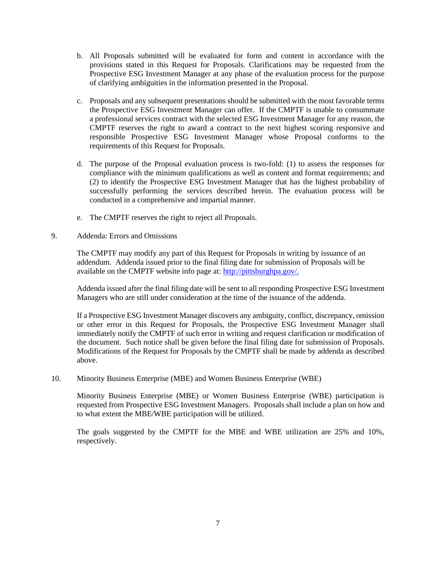- b. All Proposals submitted will be evaluated for form and content in accordance with the provisions stated in this Request for Proposals. Clarifications may be requested from the Prospective ESG Investment Manager at any phase of the evaluation process for the purpose of clarifying ambiguities in the information presented in the Proposal.
- c. Proposals and any subsequent presentations should be submitted with the most favorable terms the Prospective ESG Investment Manager can offer. If the CMPTF is unable to consummate a professional services contract with the selected ESG Investment Manager for any reason, the CMPTF reserves the right to award a contract to the next highest scoring responsive and responsible Prospective ESG Investment Manager whose Proposal conforms to the requirements of this Request for Proposals.
- d. The purpose of the Proposal evaluation process is two-fold: (1) to assess the responses for compliance with the minimum qualifications as well as content and format requirements; and (2) to identify the Prospective ESG Investment Manager that has the highest probability of successfully performing the services described herein. The evaluation process will be conducted in a comprehensive and impartial manner.
- e. The CMPTF reserves the right to reject all Proposals.
- 9. Addenda: Errors and Omissions

The CMPTF may modify any part of this Request for Proposals in writing by issuance of an addendum. Addenda issued prior to the final filing date for submission of Proposals will be available on the CMPTF website info page at: [http://pittsburghpa.gov/.](http://pittsburghpa.gov/)

Addenda issued after the final filing date will be sent to all responding Prospective ESG Investment Managers who are still under consideration at the time of the issuance of the addenda.

If a Prospective ESG Investment Manager discovers any ambiguity, conflict, discrepancy, omission or other error in this Request for Proposals, the Prospective ESG Investment Manager shall immediately notify the CMPTF of such error in writing and request clarification or modification of the document. Such notice shall be given before the final filing date for submission of Proposals. Modifications of the Request for Proposals by the CMPTF shall be made by addenda as described above.

10. Minority Business Enterprise (MBE) and Women Business Enterprise (WBE)

Minority Business Enterprise (MBE) or Women Business Enterprise (WBE) participation is requested from Prospective ESG Investment Managers. Proposals shall include a plan on how and to what extent the MBE/WBE participation will be utilized.

The goals suggested by the CMPTF for the MBE and WBE utilization are 25% and 10%, respectively.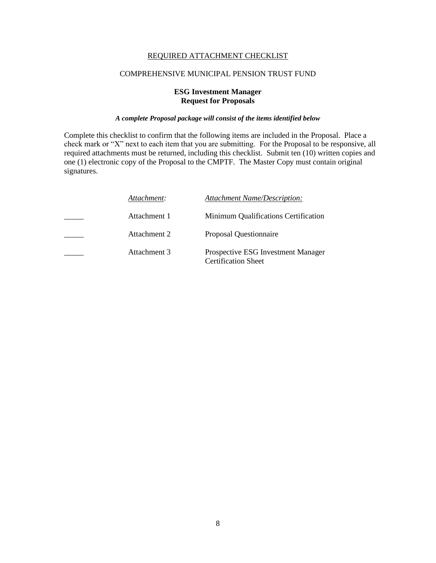### REQUIRED ATTACHMENT CHECKLIST

#### COMPREHENSIVE MUNICIPAL PENSION TRUST FUND

### **ESG Investment Manager Request for Proposals**

### *A complete Proposal package will consist of the items identified below*

Complete this checklist to confirm that the following items are included in the Proposal. Place a check mark or "X" next to each item that you are submitting. For the Proposal to be responsive, all required attachments must be returned, including this checklist. Submit ten (10) written copies and one (1) electronic copy of the Proposal to the CMPTF. The Master Copy must contain original signatures.

| Attachment:  | <b>Attachment Name/Description:</b>                                     |
|--------------|-------------------------------------------------------------------------|
| Attachment 1 | Minimum Qualifications Certification                                    |
| Attachment 2 | <b>Proposal Questionnaire</b>                                           |
| Attachment 3 | <b>Prospective ESG Investment Manager</b><br><b>Certification Sheet</b> |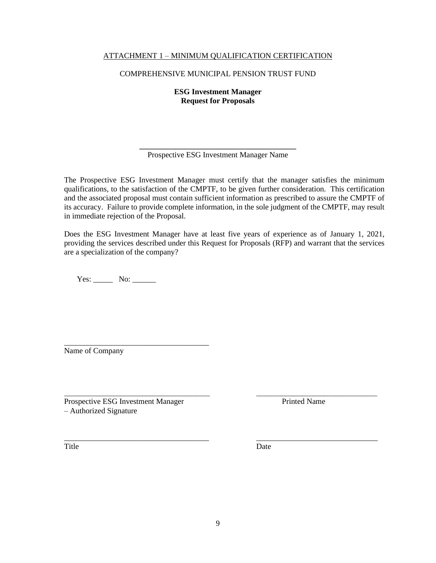## ATTACHMENT 1 – MINIMUM QUALIFICATION CERTIFICATION

### COMPREHENSIVE MUNICIPAL PENSION TRUST FUND

**ESG Investment Manager Request for Proposals**

**\_\_\_\_\_\_\_\_\_\_\_\_\_\_\_\_\_\_\_\_\_\_\_\_\_\_\_\_\_\_\_\_\_\_\_\_\_\_\_\_** Prospective ESG Investment Manager Name

The Prospective ESG Investment Manager must certify that the manager satisfies the minimum qualifications, to the satisfaction of the CMPTF, to be given further consideration. This certification and the associated proposal must contain sufficient information as prescribed to assure the CMPTF of its accuracy. Failure to provide complete information, in the sole judgment of the CMPTF, may result in immediate rejection of the Proposal.

Does the ESG Investment Manager have at least five years of experience as of January 1, 2021, providing the services described under this Request for Proposals (RFP) and warrant that the services are a specialization of the company?

Yes: \_\_\_\_\_\_\_ No: \_\_\_\_\_\_\_

\_\_\_\_\_\_\_\_\_\_\_\_\_\_\_\_\_\_\_\_\_\_\_\_\_\_\_\_\_\_\_\_\_\_\_\_\_ Name of Company

\_\_\_\_\_\_\_\_\_\_\_\_\_\_\_\_\_\_\_\_\_\_\_\_\_\_\_\_\_\_\_\_\_\_\_\_\_\_\_\_\_ \_\_\_\_\_\_\_\_\_\_\_\_\_\_\_\_\_\_\_\_\_\_\_\_\_\_\_\_\_\_\_\_\_\_ Prospective ESG Investment Manager Printed Name – Authorized Signature

Title Date

\_\_\_\_\_\_\_\_\_\_\_\_\_\_\_\_\_\_\_\_\_\_\_\_\_\_\_\_\_\_\_\_\_\_\_\_\_ \_\_\_\_\_\_\_\_\_\_\_\_\_\_\_\_\_\_\_\_\_\_\_\_\_\_\_\_\_\_\_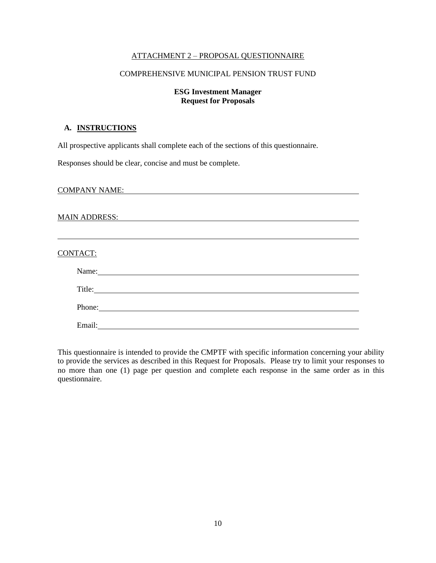#### ATTACHMENT 2 – PROPOSAL QUESTIONNAIRE

#### COMPREHENSIVE MUNICIPAL PENSION TRUST FUND

### **ESG Investment Manager Request for Proposals**

#### **A. INSTRUCTIONS**

All prospective applicants shall complete each of the sections of this questionnaire.

Responses should be clear, concise and must be complete.

COMPANY NAME:

#### MAIN ADDRESS:

#### CONTACT:

| Name:  | <u> 1980 - Jan Stein Berlin, amerikan bisa per</u>                                                                   |  |  |
|--------|----------------------------------------------------------------------------------------------------------------------|--|--|
|        | Title:                                                                                                               |  |  |
|        |                                                                                                                      |  |  |
| Phone: | <u> 1980 - Jan Barbara Barbara, prima prima prima prima prima prima prima prima prima prima prima prima prima pr</u> |  |  |
| Email: |                                                                                                                      |  |  |

This questionnaire is intended to provide the CMPTF with specific information concerning your ability to provide the services as described in this Request for Proposals. Please try to limit your responses to no more than one (1) page per question and complete each response in the same order as in this questionnaire.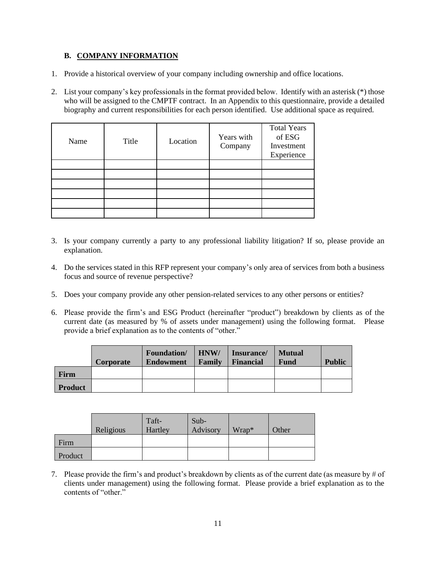# **B. COMPANY INFORMATION**

- 1. Provide a historical overview of your company including ownership and office locations.
- 2. List your company's key professionals in the format provided below. Identify with an asterisk (\*) those who will be assigned to the CMPTF contract. In an Appendix to this questionnaire, provide a detailed biography and current responsibilities for each person identified. Use additional space as required.

| Name | Title | Location | Years with<br>Company | <b>Total Years</b><br>of ESG<br>Investment<br>Experience |
|------|-------|----------|-----------------------|----------------------------------------------------------|
|      |       |          |                       |                                                          |
|      |       |          |                       |                                                          |
|      |       |          |                       |                                                          |
|      |       |          |                       |                                                          |
|      |       |          |                       |                                                          |
|      |       |          |                       |                                                          |

- 3. Is your company currently a party to any professional liability litigation? If so, please provide an explanation.
- 4. Do the services stated in this RFP represent your company's only area of services from both a business focus and source of revenue perspective?
- 5. Does your company provide any other pension-related services to any other persons or entities?
- 6. Please provide the firm's and ESG Product (hereinafter "product") breakdown by clients as of the current date (as measured by % of assets under management) using the following format. Please provide a brief explanation as to the contents of "other."

|                | <b>Corporate</b> | <b>Foundation</b> /<br><b>Endowment</b> | HNW/<br>Family | Insurance/<br><b>Financial</b> | <b>Mutual</b><br><b>Fund</b> | <b>Public</b> |
|----------------|------------------|-----------------------------------------|----------------|--------------------------------|------------------------------|---------------|
| Firm           |                  |                                         |                |                                |                              |               |
| <b>Product</b> |                  |                                         |                |                                |                              |               |

|         | Religious | Taft-<br>Hartley | Sub-<br>Advisory | Wrap* | Other |
|---------|-----------|------------------|------------------|-------|-------|
| Firm    |           |                  |                  |       |       |
| Product |           |                  |                  |       |       |

7. Please provide the firm's and product's breakdown by clients as of the current date (as measure by # of clients under management) using the following format. Please provide a brief explanation as to the contents of "other."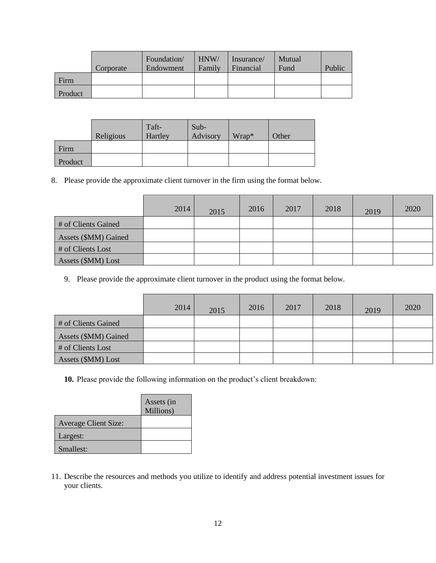|         | Corporate | Foundation/<br>Endowment | HNW/<br>Family | Insurance/<br>Financial | Mutual<br>Fund | Public |
|---------|-----------|--------------------------|----------------|-------------------------|----------------|--------|
| Firm    |           |                          |                |                         |                |        |
| Product |           |                          |                |                         |                |        |

|         | Religious | Taft-<br>Hartley | $Sub-$<br>Advisory | Wrap* | Other |
|---------|-----------|------------------|--------------------|-------|-------|
| Firm    |           |                  |                    |       |       |
| Product |           |                  |                    |       |       |

8. Please provide the approximate client turnover in the firm using the format below.

|                      | 2014 | 2015 | 2016 | 2017 | 2018 | 2019 | 2020 |
|----------------------|------|------|------|------|------|------|------|
| # of Clients Gained  |      |      |      |      |      |      |      |
| Assets (\$MM) Gained |      |      |      |      |      |      |      |
| $#$ of Clients Lost  |      |      |      |      |      |      |      |
| Assets (\$MM) Lost   |      |      |      |      |      |      |      |

9. Please provide the approximate client turnover in the product using the format below.

|                      | 2014 | 2015 | 2016 | 2017 | 2018 | 2019 | 2020 |
|----------------------|------|------|------|------|------|------|------|
| # of Clients Gained  |      |      |      |      |      |      |      |
| Assets (\$MM) Gained |      |      |      |      |      |      |      |
| # of Clients Lost    |      |      |      |      |      |      |      |
| Assets (\$MM) Lost   |      |      |      |      |      |      |      |

**10.** Please provide the following information on the product's client breakdown:

|                             | Assets (in<br>Millions) |
|-----------------------------|-------------------------|
| <b>Average Client Size:</b> |                         |
| Largest:                    |                         |
| Smallest:                   |                         |

11. Describe the resources and methods you utilize to identify and address potential investment issues for your clients.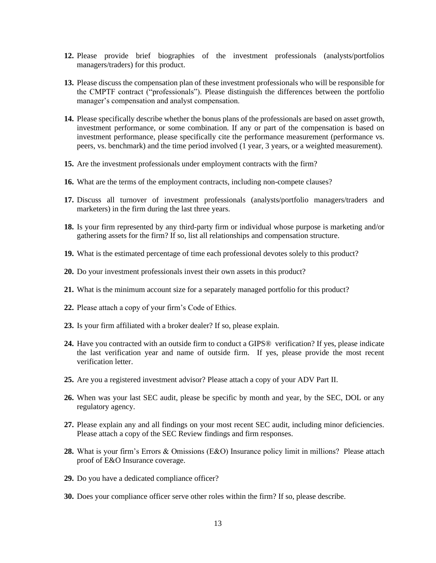- **12.** Please provide brief biographies of the investment professionals (analysts/portfolios managers/traders) for this product.
- **13.** Please discuss the compensation plan of these investment professionals who will be responsible for the CMPTF contract ("professionals"). Please distinguish the differences between the portfolio manager's compensation and analyst compensation.
- **14.** Please specifically describe whether the bonus plans of the professionals are based on asset growth, investment performance, or some combination. If any or part of the compensation is based on investment performance, please specifically cite the performance measurement (performance vs. peers, vs. benchmark) and the time period involved (1 year, 3 years, or a weighted measurement).
- **15.** Are the investment professionals under employment contracts with the firm?
- **16.** What are the terms of the employment contracts, including non-compete clauses?
- **17.** Discuss all turnover of investment professionals (analysts/portfolio managers/traders and marketers) in the firm during the last three years.
- **18.** Is your firm represented by any third-party firm or individual whose purpose is marketing and/or gathering assets for the firm? If so, list all relationships and compensation structure.
- **19.** What is the estimated percentage of time each professional devotes solely to this product?
- **20.** Do your investment professionals invest their own assets in this product?
- **21.** What is the minimum account size for a separately managed portfolio for this product?
- **22.** Please attach a copy of your firm's Code of Ethics.
- **23.** Is your firm affiliated with a broker dealer? If so, please explain.
- **24.** Have you contracted with an outside firm to conduct a GIPS® verification? If yes, please indicate the last verification year and name of outside firm. If yes, please provide the most recent verification letter.
- **25.** Are you a registered investment advisor? Please attach a copy of your ADV Part II.
- **26.** When was your last SEC audit, please be specific by month and year, by the SEC, DOL or any regulatory agency.
- **27.** Please explain any and all findings on your most recent SEC audit, including minor deficiencies. Please attach a copy of the SEC Review findings and firm responses.
- **28.** What is your firm's Errors & Omissions (E&O) Insurance policy limit in millions? Please attach proof of E&O Insurance coverage.
- **29.** Do you have a dedicated compliance officer?
- **30.** Does your compliance officer serve other roles within the firm? If so, please describe.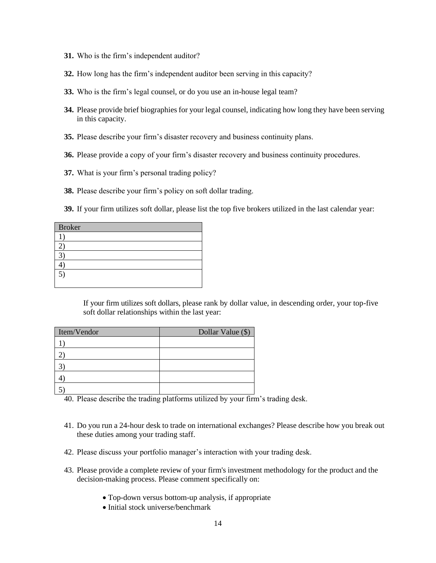- **31.** Who is the firm's independent auditor?
- **32.** How long has the firm's independent auditor been serving in this capacity?
- **33.** Who is the firm's legal counsel, or do you use an in-house legal team?
- **34.** Please provide brief biographies for your legal counsel, indicating how long they have been serving in this capacity.
- **35.** Please describe your firm's disaster recovery and business continuity plans.
- **36.** Please provide a copy of your firm's disaster recovery and business continuity procedures.
- **37.** What is your firm's personal trading policy?
- **38.** Please describe your firm's policy on soft dollar trading.

**39.** If your firm utilizes soft dollar, please list the top five brokers utilized in the last calendar year:

| <b>Broker</b>    |  |
|------------------|--|
|                  |  |
|                  |  |
|                  |  |
|                  |  |
| $\left(5\right)$ |  |
|                  |  |

If your firm utilizes soft dollars, please rank by dollar value, in descending order, your top-five soft dollar relationships within the last year:

| Item/Vendor | Dollar Value (\$) |
|-------------|-------------------|
|             |                   |
|             |                   |
|             |                   |
|             |                   |
|             |                   |

40. Please describe the trading platforms utilized by your firm's trading desk.

- 41. Do you run a 24-hour desk to trade on international exchanges? Please describe how you break out these duties among your trading staff.
- 42. Please discuss your portfolio manager's interaction with your trading desk.
- 43. Please provide a complete review of your firm's investment methodology for the product and the decision-making process. Please comment specifically on:
	- Top-down versus bottom-up analysis, if appropriate
	- Initial stock universe/benchmark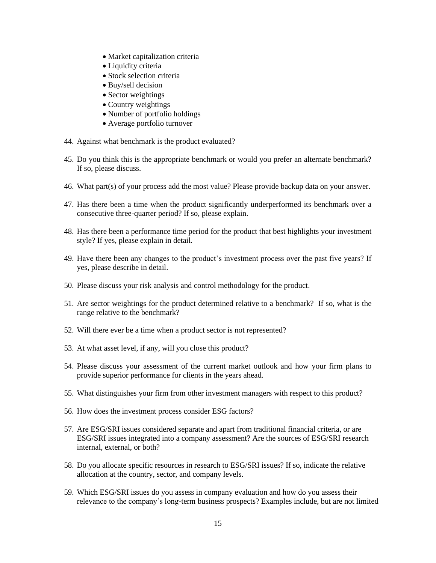- Market capitalization criteria
- Liquidity criteria
- Stock selection criteria
- Buy/sell decision
- Sector weightings
- Country weightings
- Number of portfolio holdings
- Average portfolio turnover
- 44. Against what benchmark is the product evaluated?
- 45. Do you think this is the appropriate benchmark or would you prefer an alternate benchmark? If so, please discuss.
- 46. What part(s) of your process add the most value? Please provide backup data on your answer.
- 47. Has there been a time when the product significantly underperformed its benchmark over a consecutive three-quarter period? If so, please explain.
- 48. Has there been a performance time period for the product that best highlights your investment style? If yes, please explain in detail.
- 49. Have there been any changes to the product's investment process over the past five years? If yes, please describe in detail.
- 50. Please discuss your risk analysis and control methodology for the product.
- 51. Are sector weightings for the product determined relative to a benchmark? If so, what is the range relative to the benchmark?
- 52. Will there ever be a time when a product sector is not represented?
- 53. At what asset level, if any, will you close this product?
- 54. Please discuss your assessment of the current market outlook and how your firm plans to provide superior performance for clients in the years ahead.
- 55. What distinguishes your firm from other investment managers with respect to this product?
- 56. How does the investment process consider ESG factors?
- 57. Are ESG/SRI issues considered separate and apart from traditional financial criteria, or are ESG/SRI issues integrated into a company assessment? Are the sources of ESG/SRI research internal, external, or both?
- 58. Do you allocate specific resources in research to ESG/SRI issues? If so, indicate the relative allocation at the country, sector, and company levels.
- 59. Which ESG/SRI issues do you assess in company evaluation and how do you assess their relevance to the company's long-term business prospects? Examples include, but are not limited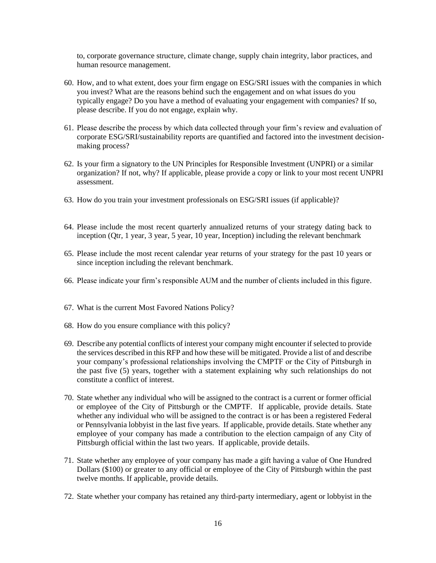to, corporate governance structure, climate change, supply chain integrity, labor practices, and human resource management.

- 60. How, and to what extent, does your firm engage on ESG/SRI issues with the companies in which you invest? What are the reasons behind such the engagement and on what issues do you typically engage? Do you have a method of evaluating your engagement with companies? If so, please describe. If you do not engage, explain why.
- 61. Please describe the process by which data collected through your firm's review and evaluation of corporate ESG/SRI/sustainability reports are quantified and factored into the investment decisionmaking process?
- 62. Is your firm a signatory to the UN Principles for Responsible Investment (UNPRI) or a similar organization? If not, why? If applicable, please provide a copy or link to your most recent UNPRI assessment.
- 63. How do you train your investment professionals on ESG/SRI issues (if applicable)?
- 64. Please include the most recent quarterly annualized returns of your strategy dating back to inception (Qtr, 1 year, 3 year, 5 year, 10 year, Inception) including the relevant benchmark
- 65. Please include the most recent calendar year returns of your strategy for the past 10 years or since inception including the relevant benchmark.
- 66. Please indicate your firm's responsible AUM and the number of clients included in this figure.
- 67. What is the current Most Favored Nations Policy?
- 68. How do you ensure compliance with this policy?
- 69. Describe any potential conflicts of interest your company might encounter if selected to provide the services described in this RFP and how these will be mitigated. Provide a list of and describe your company's professional relationships involving the CMPTF or the City of Pittsburgh in the past five (5) years, together with a statement explaining why such relationships do not constitute a conflict of interest.
- 70. State whether any individual who will be assigned to the contract is a current or former official or employee of the City of Pittsburgh or the CMPTF. If applicable, provide details. State whether any individual who will be assigned to the contract is or has been a registered Federal or Pennsylvania lobbyist in the last five years. If applicable, provide details. State whether any employee of your company has made a contribution to the election campaign of any City of Pittsburgh official within the last two years. If applicable, provide details.
- 71. State whether any employee of your company has made a gift having a value of One Hundred Dollars (\$100) or greater to any official or employee of the City of Pittsburgh within the past twelve months. If applicable, provide details.
- 72. State whether your company has retained any third-party intermediary, agent or lobbyist in the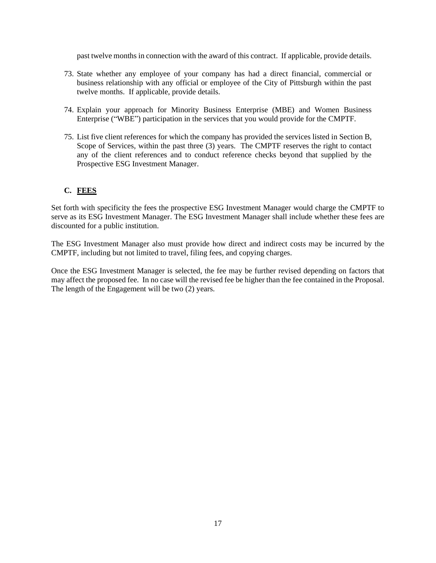past twelve months in connection with the award of this contract. If applicable, provide details.

- 73. State whether any employee of your company has had a direct financial, commercial or business relationship with any official or employee of the City of Pittsburgh within the past twelve months. If applicable, provide details.
- 74. Explain your approach for Minority Business Enterprise (MBE) and Women Business Enterprise ("WBE") participation in the services that you would provide for the CMPTF.
- 75. List five client references for which the company has provided the services listed in Section B, Scope of Services, within the past three (3) years. The CMPTF reserves the right to contact any of the client references and to conduct reference checks beyond that supplied by the Prospective ESG Investment Manager.

# **C. FEES**

Set forth with specificity the fees the prospective ESG Investment Manager would charge the CMPTF to serve as its ESG Investment Manager. The ESG Investment Manager shall include whether these fees are discounted for a public institution.

The ESG Investment Manager also must provide how direct and indirect costs may be incurred by the CMPTF, including but not limited to travel, filing fees, and copying charges.

Once the ESG Investment Manager is selected, the fee may be further revised depending on factors that may affect the proposed fee. In no case will the revised fee be higher than the fee contained in the Proposal. The length of the Engagement will be two (2) years.